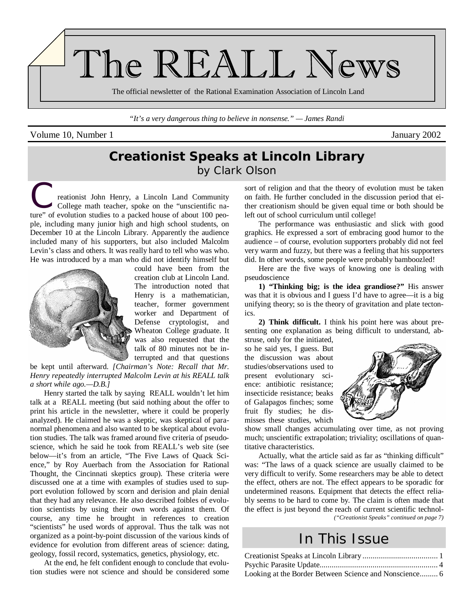

*"It's a very dangerous thing to believe in nonsense." — James Randi* 

#### Volume 10, Number 1 January 2002

## **Creationist Speaks at Lincoln Library**  by Clark Olson

reationist John Henry, a Lincoln Land Community College math teacher, spoke on the "unscientific nature" of evolution studies to a packed house of about 100 people, including many junior high and high school students, on December 10 at the Lincoln Library. Apparently the audience included many of his supporters, but also included Malcolm Levin's class and others. It was really hard to tell who was who. He was introduced by a man who did not identify himself but



could have been from the creation club at Lincoln Land. The introduction noted that Henry is a mathematician, teacher, former government worker and Department of Defense cryptologist, and Wheaton College graduate. It was also requested that the talk of 80 minutes not be interrupted and that questions

be kept until afterward. *[Chairman's Note: Recall that Mr. Henry repeatedly interrupted Malcolm Levin at his REALL talk a short while ago.—D.B.]*

Henry started the talk by saying REALL wouldn't let him talk at a REALL meeting (but said nothing about the offer to print his article in the newsletter, where it could be properly analyzed). He claimed he was a skeptic, was skeptical of paranormal phenomena and also wanted to be skeptical about evolution studies. The talk was framed around five criteria of pseudoscience, which he said he took from REALL's web site (see below—it's from an article, "The Five Laws of Quack Science," by Roy Auerbach from the Association for Rational Thought, the Cincinnati skeptics group). These criteria were discussed one at a time with examples of studies used to support evolution followed by scorn and derision and plain denial that they had any relevance. He also described foibles of evolution scientists by using their own words against them. Of course, any time he brought in references to creation "scientists" he used words of approval. Thus the talk was not organized as a point-by-point discussion of the various kinds of evidence for evolution from different areas of science: dating, geology, fossil record, systematics, genetics, physiology, etc.

At the end, he felt confident enough to conclude that evolution studies were not science and should be considered some sort of religion and that the theory of evolution must be taken on faith. He further concluded in the discussion period that either creationism should be given equal time or both should be left out of school curriculum until college!

The performance was enthusiastic and slick with good graphics. He expressed a sort of embracing good humor to the audience – of course, evolution supporters probably did not feel very warm and fuzzy, but there was a feeling that his supporters did. In other words, some people were probably bamboozled!

Here are the five ways of knowing one is dealing with pseudoscience

**1) "Thinking big; is the idea grandiose?"** His answer was that it is obvious and I guess I'd have to agree—it is a big unifying theory; so is the theory of gravitation and plate tectonics.

**2) Think difficult.** I think his point here was about presenting one explanation as being difficult to understand, ab-

struse, only for the initiated, so he said yes, I guess. But the discussion was about studies/observations used to present evolutionary science: antibiotic resistance; insecticide resistance; beaks of Galapagos finches; some fruit fly studies; he dismisses these studies, which



show small changes accumulating over time, as not proving much; unscientific extrapolation; triviality; oscillations of quantitative characteristics.

Actually, what the article said as far as "thinking difficult" was: "The laws of a quack science are usually claimed to be very difficult to verify. Some researchers may be able to detect the effect, others are not. The effect appears to be sporadic for undetermined reasons. Equipment that detects the effect reliably seems to be hard to come by. The claim is often made that the effect is just beyond the reach of current scientific technol- *("Creationist Speaks" continued on page 7)* 

## In This Issue

| Looking at the Border Between Science and Nonscience 6 |  |
|--------------------------------------------------------|--|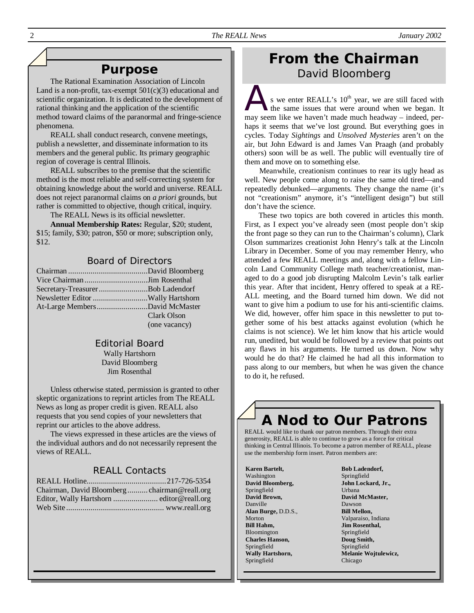## **Purpose**

The Rational Examination Association of Lincoln Land is a non-profit, tax-exempt  $501(c)(3)$  educational and scientific organization. It is dedicated to the development of rational thinking and the application of the scientific method toward claims of the paranormal and fringe-science phenomena.

REALL shall conduct research, convene meetings, publish a newsletter, and disseminate information to its members and the general public. Its primary geographic region of coverage is central Illinois.

REALL subscribes to the premise that the scientific method is the most reliable and self-correcting system for obtaining knowledge about the world and universe. REALL does not reject paranormal claims on *a priori* grounds, but rather is committed to objective, though critical, inquiry.

The REALL News is its official newsletter.

**Annual Membership Rates:** Regular, \$20; student, \$15; family, \$30; patron, \$50 or more; subscription only,  $$12$ 

### Board of Directors

| At-Large MembersDavid McMaster |               |
|--------------------------------|---------------|
|                                | Clark Olson   |
|                                | (one vacancy) |

#### Editorial Board Wally Hartshorn David Bloomberg Jim Rosenthal

Unless otherwise stated, permission is granted to other skeptic organizations to reprint articles from The REALL News as long as proper credit is given. REALL also requests that you send copies of your newsletters that reprint our articles to the above address.

The views expressed in these articles are the views of the individual authors and do not necessarily represent the views of REALL.

## REALL Contacts

| Chairman, David Bloombergchairman@reall.org |  |
|---------------------------------------------|--|
|                                             |  |
|                                             |  |

## **From the Chairman**  David Bloomberg

s we enter REALL's  $10<sup>th</sup>$  year, we are still faced with the same issues that were around when we began. It may seem like we haven't made much headway – indeed, perhaps it seems that we've lost ground. But everything goes in cycles. Today *Sightings* and *Unsolved Mysteries* aren't on the air, but John Edward is and James Van Praagh (and probably others) soon will be as well. The public will eventually tire of them and move on to something else.

 Meanwhile, creationism continues to rear its ugly head as well. New people come along to raise the same old tired—and repeatedly debunked—arguments. They change the name (it's not "creationism" anymore, it's "intelligent design") but still don't have the science.

These two topics are both covered in articles this month. First, as I expect you've already seen (most people don't skip the front page so they can run to the Chairman's column), Clark Olson summarizes creationist John Henry's talk at the Lincoln Library in December. Some of you may remember Henry, who attended a few REALL meetings and, along with a fellow Lincoln Land Community College math teacher/creationist, managed to do a good job disrupting Malcolm Levin's talk earlier this year. After that incident, Henry offered to speak at a RE-ALL meeting, and the Board turned him down. We did not want to give him a podium to use for his anti-scientific claims. We did, however, offer him space in this newsletter to put together some of his best attacks against evolution (which he claims is not science). We let him know that his article would run, unedited, but would be followed by a review that points out any flaws in his arguments. He turned us down. Now why would he do that? He claimed he had all this information to pass along to our members, but when he was given the chance to do it, he refused.

# **A Nod to Our Patrons**

REALL would like to thank our patron members. Through their extra generosity, REALL is able to continue to grow as a force for critical thinking in Central Illinois. To become a patron member of REALL, please use the membership form insert. Patron members are:

**Karen Bartelt,** Washington **David Bloomberg,** Springfield **David Brown,** Danville **Alan Burge,** D.D.S., Morton **Bill Hahm,** Bloomington **Charles Hanson,** Springfield **Wally Hartshorn,** Springfield

**Bob Ladendorf,**  Springfield **John Lockard, Jr.,**  Urbana **David McMaster,** Dawson **Bill Mellon,**  Valparaiso, Indiana **Jim Rosenthal,**  Springfield **Doug Smith,**  Springfield **Melanie Wojtulewicz,**  Chicago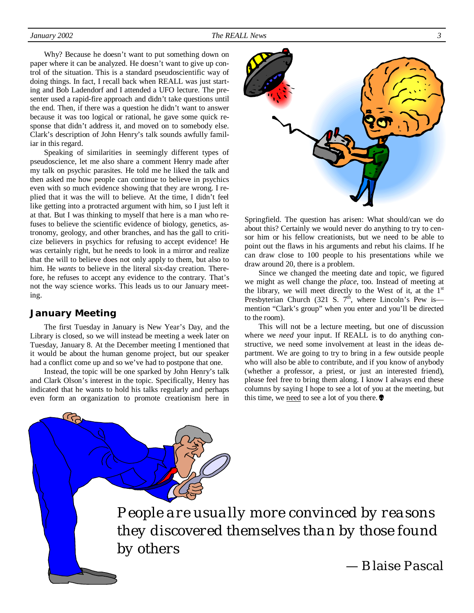Why? Because he doesn't want to put something down on paper where it can be analyzed. He doesn't want to give up control of the situation. This is a standard pseudoscientific way of doing things. In fact, I recall back when REALL was just starting and Bob Ladendorf and I attended a UFO lecture. The presenter used a rapid-fire approach and didn't take questions until the end. Then, if there was a question he didn't want to answer because it was too logical or rational, he gave some quick response that didn't address it, and moved on to somebody else. Clark's description of John Henry's talk sounds awfully familiar in this regard.

Speaking of similarities in seemingly different types of pseudoscience, let me also share a comment Henry made after my talk on psychic parasites. He told me he liked the talk and then asked me how people can continue to believe in psychics even with so much evidence showing that they are wrong. I replied that it was the will to believe. At the time, I didn't feel like getting into a protracted argument with him, so I just left it at that. But I was thinking to myself that here is a man who refuses to believe the scientific evidence of biology, genetics, astronomy, geology, and other branches, and has the gall to criticize believers in psychics for refusing to accept evidence! He was certainly right, but he needs to look in a mirror and realize that the will to believe does not only apply to them, but also to him. He *wants* to believe in the literal six-day creation. Therefore, he refuses to accept any evidence to the contrary. That's not the way science works. This leads us to our January meeting.

## **January Meeting**

The first Tuesday in January is New Year's Day, and the Library is closed, so we will instead be meeting a week later on Tuesday, January 8. At the December meeting I mentioned that it would be about the human genome project, but our speaker had a conflict come up and so we've had to postpone that one.

Instead, the topic will be one sparked by John Henry's talk and Clark Olson's interest in the topic. Specifically, Henry has indicated that he wants to hold his talks regularly and perhaps even form an organization to promote creationism here in



Springfield. The question has arisen: What should/can we do about this? Certainly we would never do anything to try to censor him or his fellow creationists, but we need to be able to point out the flaws in his arguments and rebut his claims. If he can draw close to 100 people to his presentations while we draw around 20, there is a problem.

Since we changed the meeting date and topic, we figured we might as well change the *place*, too. Instead of meeting at the library, we will meet directly to the West of it, at the  $1<sup>st</sup>$ Presbyterian Church (321 S.  $7<sup>th</sup>$ , where Lincoln's Pew is mention "Clark's group" when you enter and you'll be directed to the room).

This will not be a lecture meeting, but one of discussion where we *need* your input. If REALL is to do anything constructive, we need some involvement at least in the ideas department. We are going to try to bring in a few outside people who will also be able to contribute, and if you know of anybody (whether a professor, a priest, or just an interested friend), please feel free to bring them along. I know I always end these columns by saying I hope to see a lot of you at the meeting, but this time, we need to see a lot of you there.  $\bullet$ 

*People are usually more convinced by reasons they discovered themselves than by those found by others* 

— Blaise Pascal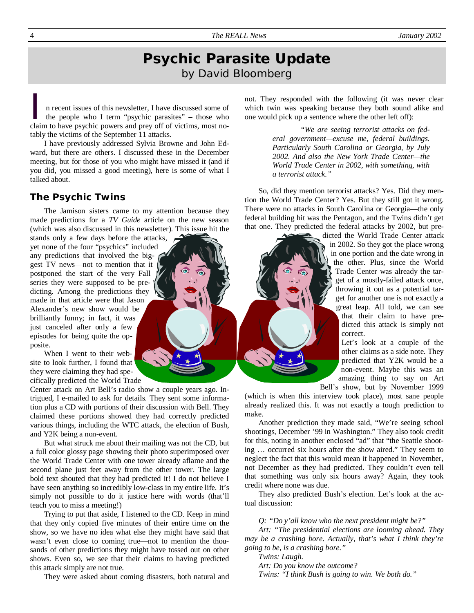## **Psychic Parasite Update**  by David Bloomberg

I n recent issues of this newsletter, I have discussed some of the people who I term "psychic parasites" – those who claim to have psychic powers and pray off of victims, most no claim to have psychic powers and prey off of victims, most notably the victims of the September 11 attacks.

I have previously addressed Sylvia Browne and John Edward, but there are others. I discussed these in the December meeting, but for those of you who might have missed it (and if you did, you missed a good meeting), here is some of what I talked about.

#### **The Psychic Twins**

The Jamison sisters came to my attention because they made predictions for a *TV Guide* article on the new season (which was also discussed in this newsletter). This issue hit the

stands only a few days before the attacks, yet none of the four "psychics" included any predictions that involved the biggest TV news—not to mention that it postponed the start of the very Fall series they were supposed to be predicting. Among the predictions they made in that article were that Jason Alexander's new show would be brilliantly funny; in fact, it was just canceled after only a few episodes for being quite the opposite.

When I went to their website to look further, I found that they were claiming they had specifically predicted the World Trade

Center attack on Art Bell's radio show a couple years ago. Intrigued, I e-mailed to ask for details. They sent some information plus a CD with portions of their discussion with Bell. They claimed these portions showed they had correctly predicted various things, including the WTC attack, the election of Bush, and Y2K being a non-event.

But what struck me about their mailing was not the CD, but a full color glossy page showing their photo superimposed over the World Trade Center with one tower already aflame and the second plane just feet away from the other tower. The large bold text shouted that they had predicted it! I do not believe I have seen anything so incredibly low-class in my entire life. It's simply not possible to do it justice here with words (that'll teach you to miss a meeting!)

Trying to put that aside, I listened to the CD. Keep in mind that they only copied five minutes of their entire time on the show, so we have no idea what else they might have said that wasn't even close to coming true—not to mention the thousands of other predictions they might have tossed out on other shows. Even so, we see that their claims to having predicted this attack simply are not true.

They were asked about coming disasters, both natural and

not. They responded with the following (it was never clear which twin was speaking because they both sound alike and one would pick up a sentence where the other left off):

> *"We are seeing terrorist attacks on federal government—excuse me, federal buildings. Particularly South Carolina or Georgia, by July 2002. And also the New York Trade Center—the World Trade Center in 2002, with something, with a terrorist attack."*

So, did they mention terrorist attacks? Yes. Did they mention the World Trade Center? Yes. But they still got it wrong. There were no attacks in South Carolina or Georgia—the only federal building hit was the Pentagon, and the Twins didn't get that one. They predicted the federal attacks by 2002, but pre-

> dicted the World Trade Center attack in 2002. So they got the place wrong in one portion and the date wrong in the other. Plus, since the World Trade Center was already the target of a mostly-failed attack once, throwing it out as a potential target for another one is not exactly a great leap. All told, we can see that their claim to have predicted this attack is simply not correct.

Let's look at a couple of the other claims as a side note. They predicted that Y2K would be a non-event. Maybe this was an amazing thing to say on Art Bell's show, but by November 1999

(which is when this interview took place), most sane people already realized this. It was not exactly a tough prediction to make.

Another prediction they made said, "We're seeing school shootings, December '99 in Washington." They also took credit for this, noting in another enclosed "ad" that "the Seattle shooting … occurred six hours after the show aired." They seem to neglect the fact that this would mean it happened in November, not December as they had predicted. They couldn't even tell that something was only six hours away? Again, they took credit where none was due.

They also predicted Bush's election. Let's look at the actual discussion:

*Q: "Do y'all know who the next president might be?"* 

*Art: "The presidential elections are looming ahead. They may be a crashing bore. Actually, that's what I think they're going to be, is a crashing bore."* 

*Twins: Laugh.* 

*Art: Do you know the outcome?* 

*Twins: "I think Bush is going to win. We both do."*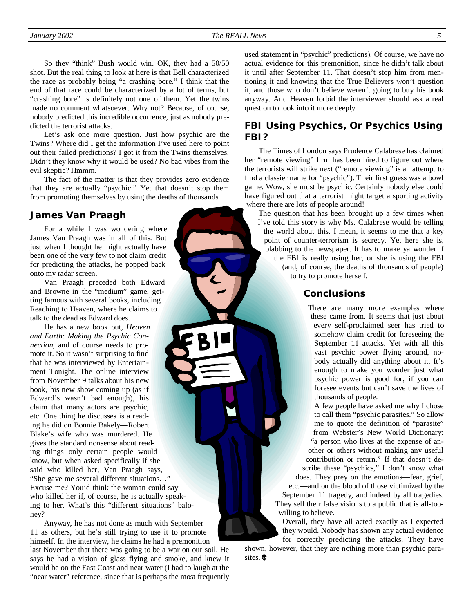*January 2002 The REALL News 5* 

So they "think" Bush would win. OK, they had a 50/50 shot. But the real thing to look at here is that Bell characterized the race as probably being "a crashing bore." I think that the end of that race could be characterized by a lot of terms, but "crashing bore" is definitely not one of them. Yet the twins made no comment whatsoever. Why not? Because, of course, nobody predicted this incredible occurrence, just as nobody predicted the terrorist attacks.

Let's ask one more question. Just how psychic are the Twins? Where did I get the information I've used here to point out their failed predictions? I got it from the Twins themselves. Didn't they know why it would be used? No bad vibes from the evil skeptic? Hmmm.

The fact of the matter is that they provides zero evidence that they are actually "psychic." Yet that doesn't stop them from promoting themselves by using the deaths of thousands

#### **James Van Praagh**

For a while I was wondering where James Van Praagh was in all of this. But just when I thought he might actually have been one of the very few to not claim credit for predicting the attacks, he popped back onto my radar screen.

Van Praagh preceded both Edward and Browne in the "medium" game, getting famous with several books, including Reaching to Heaven, where he claims to talk to the dead as Edward does.

He has a new book out, *Heaven and Earth: Making the Psychic Connection,* and of course needs to promote it. So it wasn't surprising to find that he was interviewed by Entertainment Tonight. The online interview from November 9 talks about his new book, his new show coming up (as if Edward's wasn't bad enough), his claim that many actors are psychic, etc. One thing he discusses is a reading he did on Bonnie Bakely—Robert Blake's wife who was murdered. He gives the standard nonsense about reading things only certain people would know, but when asked specifically if she said who killed her, Van Praagh says, "She gave me several different situations…" Excuse me? You'd think the woman could say who killed her if, of course, he is actually speaking to her. What's this "different situations" baloney?

Anyway, he has not done as much with September 11 as others, but he's still trying to use it to promote himself. In the interview, he claims he had a premonition

last November that there was going to be a war on our soil. He says he had a vision of glass flying and smoke, and knew it would be on the East Coast and near water (I had to laugh at the "near water" reference, since that is perhaps the most frequently used statement in "psychic" predictions). Of course, we have no actual evidence for this premonition, since he didn't talk about it until after September 11. That doesn't stop him from mentioning it and knowing that the True Believers won't question it, and those who don't believe weren't going to buy his book anyway. And Heaven forbid the interviewer should ask a real question to look into it more deeply.

## **FBI Using Psychics, Or Psychics Using FBI?**

The Times of London says Prudence Calabrese has claimed her "remote viewing" firm has been hired to figure out where the terrorists will strike next ("remote viewing" is an attempt to find a classier name for "psychic"). Their first guess was a bowl game. Wow, she must be psychic. Certainly nobody else could have figured out that a terrorist might target a sporting activity where there are lots of people around!

The question that has been brought up a few times when I've told this story is why Ms. Calabrese would be telling the world about this. I mean, it seems to me that a key point of counter-terrorism is secrecy. Yet here she is, blabbing to the newspaper. It has to make ya wonder if the FBI is really using her, or she is using the FBI (and, of course, the deaths of thousands of people) to try to promote herself.

#### **Conclusions**

There are many more examples where these came from. It seems that just about every self-proclaimed seer has tried to somehow claim credit for foreseeing the September 11 attacks. Yet with all this vast psychic power flying around, nobody actually did anything about it. It's enough to make you wonder just what psychic power is good for, if you can foresee events but can't save the lives of thousands of people.

A few people have asked me why I chose to call them "psychic parasites." So allow me to quote the definition of "parasite" from Webster's New World Dictionary: "a person who lives at the expense of another or others without making any useful contribution or return." If that doesn't describe these "psychics," I don't know what does. They prey on the emotions—fear, grief,

etc.—and on the blood of those victimized by the September 11 tragedy, and indeed by all tragedies. They sell their false visions to a public that is all-toowilling to believe.

Overall, they have all acted exactly as I expected they would. Nobody has shown any actual evidence for correctly predicting the attacks. They have

shown, however, that they are nothing more than psychic parasites.<sup><sup>®</sup></sup>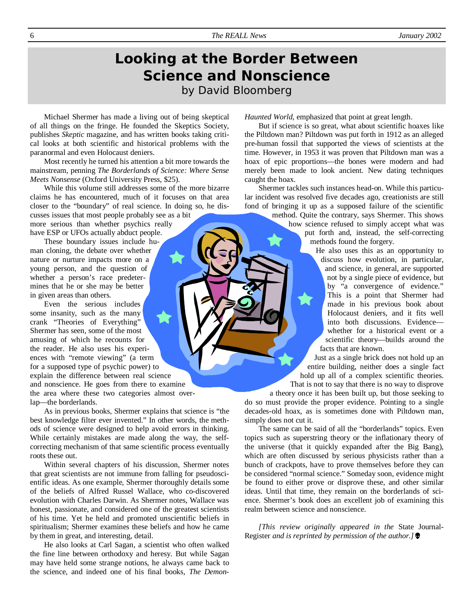## **Looking at the Border Between Science and Nonscience**  by David Bloomberg

Michael Shermer has made a living out of being skeptical of all things on the fringe. He founded the Skeptics Society, publishes *Skeptic* magazine, and has written books taking critical looks at both scientific and historical problems with the paranormal and even Holocaust deniers.

Most recently he turned his attention a bit more towards the mainstream, penning *The Borderlands of Science: Where Sense Meets Nonsense* (Oxford University Press, \$25).

While this volume still addresses some of the more bizarre claims he has encountered, much of it focuses on that area closer to the "boundary" of real science. In doing so, he dis-

cusses issues that most people probably see as a bit more serious than whether psychics really have ESP or UFOs actually abduct people.

These boundary issues include human cloning, the debate over whether nature or nurture impacts more on a young person, and the question of whether a person's race predetermines that he or she may be better in given areas than others.

Even the serious includes some insanity, such as the many crank "Theories of Everything" Shermer has seen, some of the most amusing of which he recounts for the reader. He also uses his experiences with "remote viewing" (a term for a supposed type of psychic power) to explain the difference between real science and nonscience. He goes from there to examine the area where these two categories almost overlap—the borderlands.

As in previous books, Shermer explains that science is "the best knowledge filter ever invented." In other words, the methods of science were designed to help avoid errors in thinking. While certainly mistakes are made along the way, the selfcorrecting mechanism of that same scientific process eventually roots these out.

Within several chapters of his discussion, Shermer notes that great scientists are not immune from falling for pseudoscientific ideas. As one example, Shermer thoroughly details some of the beliefs of Alfred Russel Wallace, who co-discovered evolution with Charles Darwin. As Shermer notes, Wallace was honest, passionate, and considered one of the greatest scientists of his time. Yet he held and promoted unscientific beliefs in spiritualism; Shermer examines these beliefs and how he came by them in great, and interesting, detail.

He also looks at Carl Sagan, a scientist who often walked the fine line between orthodoxy and heresy. But while Sagan may have held some strange notions, he always came back to the science, and indeed one of his final books, *The Demon-* *Haunted World*, emphasized that point at great length.

But if science is so great, what about scientific hoaxes like the Piltdown man? Piltdown was put forth in 1912 as an alleged pre-human fossil that supported the views of scientists at the time. However, in 1953 it was proven that Piltdown man was a hoax of epic proportions—the bones were modern and had merely been made to look ancient. New dating techniques caught the hoax.

Shermer tackles such instances head-on. While this particular incident was resolved five decades ago, creationists are still fond of bringing it up as a supposed failure of the scientific

method. Quite the contrary, says Shermer. This shows how science refused to simply accept what was put forth and, instead, the self-correcting methods found the forgery.

He also uses this as an opportunity to discuss how evolution, in particular, and science, in general, are supported not by a single piece of evidence, but by "a convergence of evidence." This is a point that Shermer had made in his previous book about Holocaust deniers, and it fits well into both discussions. Evidence whether for a historical event or a scientific theory—builds around the facts that are known.

Just as a single brick does not hold up an entire building, neither does a single fact hold up all of a complex scientific theories. That is not to say that there is no way to disprove

a theory once it has been built up, but those seeking to do so must provide the proper evidence. Pointing to a single decades-old hoax, as is sometimes done with Piltdown man, simply does not cut it.

The same can be said of all the "borderlands" topics. Even topics such as superstring theory or the inflationary theory of the universe (that it quickly expanded after the Big Bang), which are often discussed by serious physicists rather than a bunch of crackpots, have to prove themselves before they can be considered "normal science." Someday soon, evidence might be found to either prove or disprove these, and other similar ideas. Until that time, they remain on the borderlands of science. Shermer's book does an excellent job of examining this realm between science and nonscience.

*[This review originally appeared in the* State Journal-Register *and is reprinted by permission of the author.]*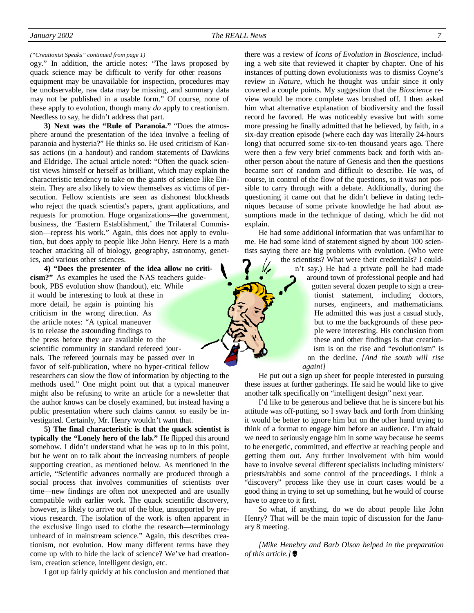#### *("Creationist Speaks" continued from page 1)*

ogy." In addition, the article notes: "The laws proposed by quack science may be difficult to verify for other reasons equipment may be unavailable for inspection, procedures may be unobservable, raw data may be missing, and summary data may not be published in a usable form." Of course, none of these apply to evolution, though many *do* apply to creationism. Needless to say, he didn't address that part.

**3) Next was the "Rule of Paranoia."** "Does the atmosphere around the presentation of the idea involve a feeling of paranoia and hysteria?" He thinks so. He used criticism of Kansas actions (in a handout) and random statements of Dawkins and Eldridge. The actual article noted: "Often the quack scientist views himself or herself as brilliant, which may explain the characteristic tendency to take on the giants of science like Einstein. They are also likely to view themselves as victims of persecution. Fellow scientists are seen as dishonest blockheads who reject the quack scientist's papers, grant applications, and requests for promotion. Huge organizations—the government, business, the 'Eastern Establishment,' the Trilateral Commission—repress his work." Again, this does not apply to evolution, but does apply to people like John Henry. Here is a math teacher attacking all of biology, geography, astronomy, genetics, and various other sciences.

**4) "Does the presenter of the idea allow no criticism?"** As examples he used the NAS teachers guidebook, PBS evolution show (handout), etc. While it would be interesting to look at these in more detail, he again is pointing his criticism in the wrong direction. As the article notes: "A typical maneuver is to release the astounding findings to the press before they are available to the scientific community in standard refereed journals. The refereed journals may be passed over in favor of self-publication, where no hyper-critical fellow researchers can slow the flow of information by objecting to the methods used." One might point out that a typical maneuver might also be refusing to write an article for a newsletter that the author knows can be closely examined, but instead having a public presentation where such claims cannot so easily be investigated. Certainly, Mr. Henry wouldn't want that.

**5) The final characteristic is that the quack scientist is typically the "Lonely hero of the lab."** He flipped this around somehow. I didn't understand what he was up to in this point, but he went on to talk about the increasing numbers of people supporting creation, as mentioned below. As mentioned in the article, "Scientific advances normally are produced through a social process that involves communities of scientists over time—new findings are often not unexpected and are usually compatible with earlier work. The quack scientific discovery, however, is likely to arrive out of the blue, unsupported by previous research. The isolation of the work is often apparent in the exclusive lingo used to clothe the research—terminology unheard of in mainstream science." Again, this describes creationism, not evolution. How many different terms have they come up with to hide the lack of science? We've had creationism, creation science, intelligent design, etc.

I got up fairly quickly at his conclusion and mentioned that

there was a review of *Icons of Evolution* in *Bioscience*, including a web site that reviewed it chapter by chapter. One of his instances of putting down evolutionists was to dismiss Coyne's review in *Nature*, which he thought was unfair since it only covered a couple points. My suggestion that the *Bioscience* review would be more complete was brushed off. I then asked him what alternative explanation of biodiversity and the fossil record he favored. He was noticeably evasive but with some more pressing he finally admitted that he believed, by faith, in a six-day creation episode (where each day was literally 24-hours long) that occurred some six-to-ten thousand years ago. There were then a few very brief comments back and forth with another person about the nature of Genesis and then the questions became sort of random and difficult to describe. He was, of course, in control of the flow of the questions, so it was not possible to carry through with a debate. Additionally, during the questioning it came out that he didn't believe in dating techniques because of some private knowledge he had about assumptions made in the technique of dating, which he did not explain.

He had some additional information that was unfamiliar to me. He had some kind of statement signed by about 100 scientists saying there are big problems with evolution. (Who were

the scientists? What were their credentials? I couldn't say.) He had a private poll he had made around town of professional people and had gotten several dozen people to sign a creationist statement, including doctors, nurses, engineers, and mathematicians. He admitted this was just a casual study, but to me the backgrounds of these people were interesting. His conclusion from these and other findings is that creationism is on the rise and "evolutionism" is on the decline. *[And the south will rise again!]*

He put out a sign up sheet for people interested in pursuing these issues at further gatherings. He said he would like to give another talk specifically on "intelligent design" next year.

I'd like to be generous and believe that he is sincere but his attitude was off-putting, so I sway back and forth from thinking it would be better to ignore him but on the other hand trying to think of a format to engage him before an audience. I'm afraid we need to seriously engage him in some way because he seems to be energetic, committed, and effective at reaching people and getting them out. Any further involvement with him would have to involve several different specialists including ministers/ priests/rabbis and some control of the proceedings. I think a "discovery" process like they use in court cases would be a good thing in trying to set up something, but he would of course have to agree to it first.

So what, if anything, do we do about people like John Henry? That will be the main topic of discussion for the January 8 meeting.

*[Mike Henebry and Barb Olson helped in the preparation of this article.]*